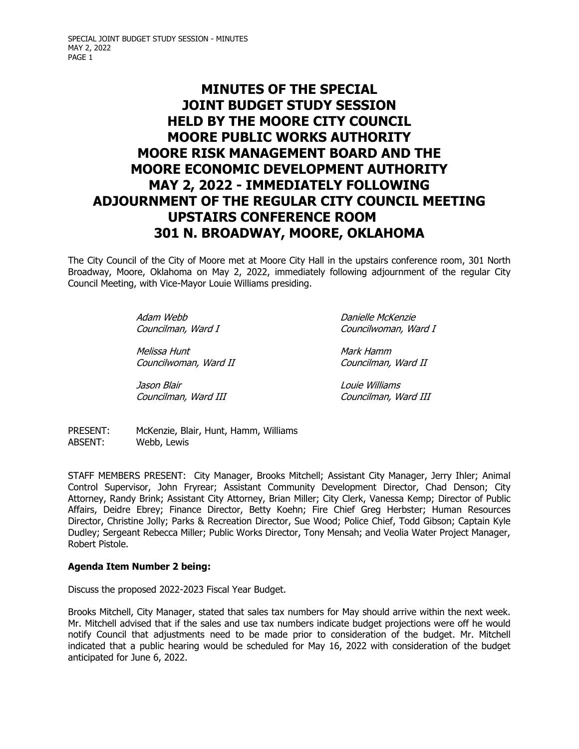SPECIAL JOINT BUDGET STUDY SESSION - MINUTES MAY 2, 2022 PAGE 1

# **MINUTES OF THE SPECIAL JOINT BUDGET STUDY SESSION HELD BY THE MOORE CITY COUNCIL MOORE PUBLIC WORKS AUTHORITY MOORE RISK MANAGEMENT BOARD AND THE MOORE ECONOMIC DEVELOPMENT AUTHORITY MAY 2, 2022 - IMMEDIATELY FOLLOWING ADJOURNMENT OF THE REGULAR CITY COUNCIL MEETING UPSTAIRS CONFERENCE ROOM 301 N. BROADWAY, MOORE, OKLAHOMA**

The City Council of the City of Moore met at Moore City Hall in the upstairs conference room, 301 North Broadway, Moore, Oklahoma on May 2, 2022, immediately following adjournment of the regular City Council Meeting, with Vice-Mayor Louie Williams presiding.

Adam Webb **Danielle McKenzie** 

Melissa Hunt **Mark Hamm** Councilwoman, Ward II Councilman, Ward II

Jason Blair Louie Williams Councilman, Ward III Councilman, Ward III

Councilman, Ward I Councilwoman, Ward I

PRESENT: McKenzie, Blair, Hunt, Hamm, Williams ABSENT: Webb, Lewis

STAFF MEMBERS PRESENT: City Manager, Brooks Mitchell; Assistant City Manager, Jerry Ihler; Animal Control Supervisor, John Fryrear; Assistant Community Development Director, Chad Denson; City Attorney, Randy Brink; Assistant City Attorney, Brian Miller; City Clerk, Vanessa Kemp; Director of Public Affairs, Deidre Ebrey; Finance Director, Betty Koehn; Fire Chief Greg Herbster; Human Resources Director, Christine Jolly; Parks & Recreation Director, Sue Wood; Police Chief, Todd Gibson; Captain Kyle Dudley; Sergeant Rebecca Miller; Public Works Director, Tony Mensah; and Veolia Water Project Manager, Robert Pistole.

### **Agenda Item Number 2 being:**

Discuss the proposed 2022-2023 Fiscal Year Budget.

Brooks Mitchell, City Manager, stated that sales tax numbers for May should arrive within the next week. Mr. Mitchell advised that if the sales and use tax numbers indicate budget projections were off he would notify Council that adjustments need to be made prior to consideration of the budget. Mr. Mitchell indicated that a public hearing would be scheduled for May 16, 2022 with consideration of the budget anticipated for June 6, 2022.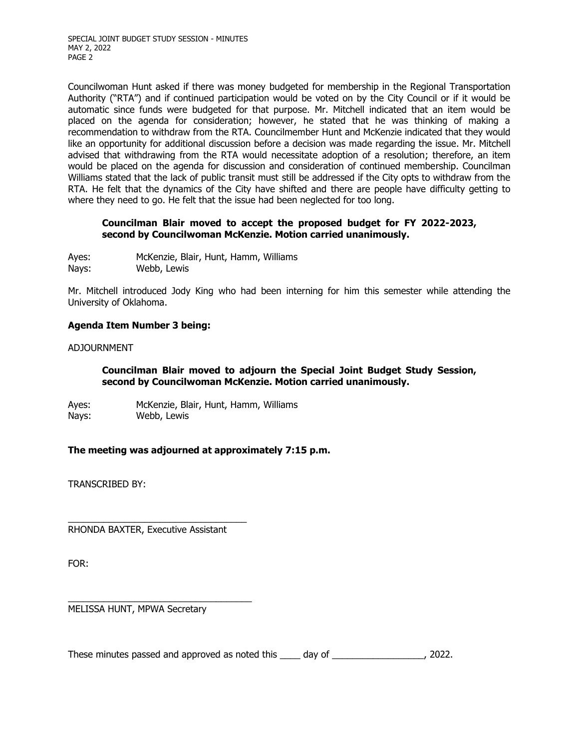SPECIAL JOINT BUDGET STUDY SESSION - MINUTES MAY 2, 2022 PAGE 2

Councilwoman Hunt asked if there was money budgeted for membership in the Regional Transportation Authority ("RTA") and if continued participation would be voted on by the City Council or if it would be automatic since funds were budgeted for that purpose. Mr. Mitchell indicated that an item would be placed on the agenda for consideration; however, he stated that he was thinking of making a recommendation to withdraw from the RTA. Councilmember Hunt and McKenzie indicated that they would like an opportunity for additional discussion before a decision was made regarding the issue. Mr. Mitchell advised that withdrawing from the RTA would necessitate adoption of a resolution; therefore, an item would be placed on the agenda for discussion and consideration of continued membership. Councilman Williams stated that the lack of public transit must still be addressed if the City opts to withdraw from the RTA. He felt that the dynamics of the City have shifted and there are people have difficulty getting to where they need to go. He felt that the issue had been neglected for too long.

## **Councilman Blair moved to accept the proposed budget for FY 2022-2023, second by Councilwoman McKenzie. Motion carried unanimously.**

Ayes: McKenzie, Blair, Hunt, Hamm, Williams Nays: Webb, Lewis

Mr. Mitchell introduced Jody King who had been interning for him this semester while attending the University of Oklahoma.

# **Agenda Item Number 3 being:**

### ADJOURNMENT

**Councilman Blair moved to adjourn the Special Joint Budget Study Session, second by Councilwoman McKenzie. Motion carried unanimously.**

Ayes: McKenzie, Blair, Hunt, Hamm, Williams Nays: Webb, Lewis

**The meeting was adjourned at approximately 7:15 p.m.**

TRANSCRIBED BY:

RHONDA BAXTER, Executive Assistant

\_\_\_\_\_\_\_\_\_\_\_\_\_\_\_\_\_\_\_\_\_\_\_\_\_\_\_\_\_\_\_\_\_\_\_

\_\_\_\_\_\_\_\_\_\_\_\_\_\_\_\_\_\_\_\_\_\_\_\_\_\_\_\_\_\_\_\_\_\_\_\_

FOR:

MELISSA HUNT, MPWA Secretary

These minutes passed and approved as noted this \_\_\_\_ day of \_\_\_\_\_\_\_\_\_\_\_\_\_\_\_\_\_\_, 2022.